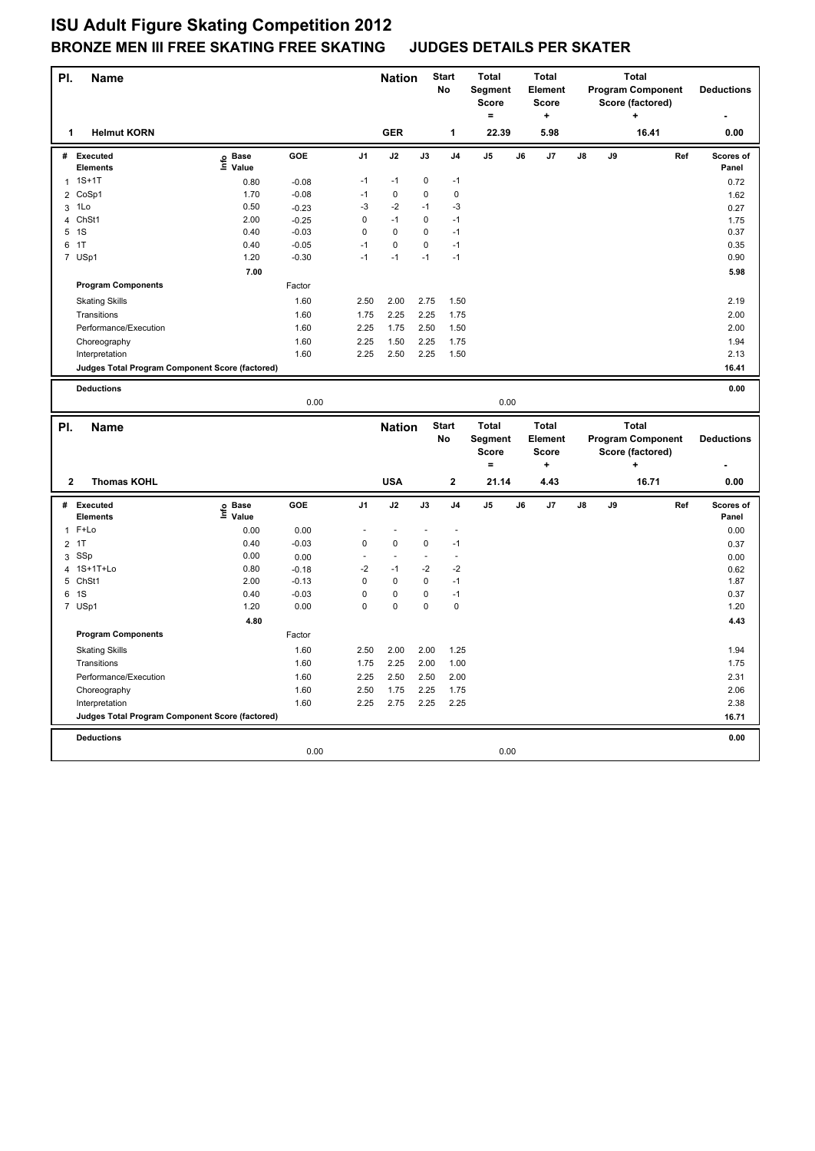## **ISU Adult Figure Skating Competition 2012 BRONZE MEN III FREE SKATING FREE SKATING JUDGES DETAILS PER SKATER**

| PI.                 | <b>Name</b>                                     |                                  |                    |                | <b>Nation</b>   |                | <b>Start</b><br>No      | <b>Total</b><br>Segment<br><b>Score</b><br>$=$ |    | <b>Total</b><br><b>Element</b><br>Score<br>$\ddot{}$ |    |    | <b>Total</b><br><b>Program Component</b><br>Score (factored)<br>÷ |     | <b>Deductions</b>  |
|---------------------|-------------------------------------------------|----------------------------------|--------------------|----------------|-----------------|----------------|-------------------------|------------------------------------------------|----|------------------------------------------------------|----|----|-------------------------------------------------------------------|-----|--------------------|
| 1                   | <b>Helmut KORN</b>                              |                                  |                    |                | <b>GER</b>      |                | 1                       | 22.39                                          |    | 5.98                                                 |    |    | 16.41                                                             |     | 0.00               |
| #                   | <b>Executed</b><br><b>Elements</b>              | <b>Base</b><br>e Base<br>⊆ Value | GOE                | J <sub>1</sub> | J2              | J3             | J <sub>4</sub>          | J5                                             | J6 | J7                                                   | J8 | J9 |                                                                   | Ref | Scores of<br>Panel |
| $\mathbf{1}$        | $1S+1T$                                         | 0.80                             | $-0.08$            | $-1$           | $-1$            | 0              | $-1$                    |                                                |    |                                                      |    |    |                                                                   |     | 0.72               |
| $\overline{2}$      | CoSp1                                           | 1.70                             | $-0.08$            | $-1$           | $\Omega$        | 0              | $\mathbf 0$             |                                                |    |                                                      |    |    |                                                                   |     | 1.62               |
| 3                   | 1Lo                                             | 0.50                             | $-0.23$            | $-3$           | $-2$            | $-1$           | $-3$                    |                                                |    |                                                      |    |    |                                                                   |     | 0.27               |
| 4                   | Ch <sub>St1</sub>                               | 2.00                             | $-0.25$            | 0              | $-1$            | 0              | $-1$                    |                                                |    |                                                      |    |    |                                                                   |     | 1.75               |
|                     | 5 1S                                            | 0.40                             | $-0.03$            | $\mathbf 0$    | $\mathbf 0$     | 0              | $-1$                    |                                                |    |                                                      |    |    |                                                                   |     | 0.37               |
| 6                   | 1T                                              | 0.40                             | $-0.05$            | $-1$           | $\mathbf 0$     | 0              | $-1$                    |                                                |    |                                                      |    |    |                                                                   |     | 0.35               |
|                     | 7 USp1                                          | 1.20                             | $-0.30$            | $-1$           | $-1$            | $-1$           | $-1$                    |                                                |    |                                                      |    |    |                                                                   |     | 0.90               |
|                     |                                                 | 7.00                             |                    |                |                 |                |                         |                                                |    |                                                      |    |    |                                                                   |     | 5.98               |
|                     | <b>Program Components</b>                       |                                  | Factor             |                |                 |                |                         |                                                |    |                                                      |    |    |                                                                   |     |                    |
|                     | <b>Skating Skills</b>                           |                                  | 1.60               | 2.50           | 2.00            | 2.75           | 1.50                    |                                                |    |                                                      |    |    |                                                                   |     | 2.19               |
|                     | Transitions                                     |                                  | 1.60               | 1.75           | 2.25            | 2.25           | 1.75                    |                                                |    |                                                      |    |    |                                                                   |     | 2.00               |
|                     | Performance/Execution                           |                                  | 1.60               | 2.25           | 1.75            | 2.50           | 1.50                    |                                                |    |                                                      |    |    |                                                                   |     | 2.00               |
|                     | Choreography                                    |                                  | 1.60               | 2.25           | 1.50            | 2.25           | 1.75                    |                                                |    |                                                      |    |    |                                                                   |     | 1.94               |
|                     | Interpretation                                  |                                  | 1.60               | 2.25           | 2.50            | 2.25           | 1.50                    |                                                |    |                                                      |    |    |                                                                   |     | 2.13               |
|                     | Judges Total Program Component Score (factored) |                                  |                    |                |                 |                |                         |                                                |    |                                                      |    |    |                                                                   |     | 16.41              |
|                     |                                                 |                                  |                    |                |                 |                |                         |                                                |    |                                                      |    |    |                                                                   |     |                    |
|                     | <b>Deductions</b>                               |                                  | 0.00               |                |                 |                |                         | 0.00                                           |    |                                                      |    |    |                                                                   |     | 0.00               |
|                     |                                                 |                                  |                    |                |                 |                |                         |                                                |    |                                                      |    |    |                                                                   |     |                    |
|                     |                                                 |                                  |                    |                |                 |                |                         |                                                |    |                                                      |    |    |                                                                   |     |                    |
| PI.                 | <b>Name</b>                                     |                                  |                    |                | <b>Nation</b>   |                | <b>Start</b>            | <b>Total</b>                                   |    | <b>Total</b>                                         |    |    | <b>Total</b>                                                      |     |                    |
|                     |                                                 |                                  |                    |                |                 |                | <b>No</b>               | Segment                                        |    | <b>Element</b>                                       |    |    | <b>Program Component</b>                                          |     | <b>Deductions</b>  |
|                     |                                                 |                                  |                    |                |                 |                |                         | Score                                          |    | <b>Score</b>                                         |    |    | Score (factored)                                                  |     |                    |
|                     |                                                 |                                  |                    |                |                 |                |                         | $\equiv$                                       |    | ÷                                                    |    |    |                                                                   |     |                    |
| $\mathbf{2}$        | <b>Thomas KOHL</b>                              |                                  |                    |                | <b>USA</b>      |                | $\overline{\mathbf{2}}$ | 21.14                                          |    | 4.43                                                 |    |    | 16.71                                                             |     | 0.00               |
| #                   | Executed                                        | <b>Base</b>                      | <b>GOE</b>         | J <sub>1</sub> | J2              | J3             | J <sub>4</sub>          | J <sub>5</sub>                                 | J6 | J7                                                   | J8 | J9 |                                                                   | Ref | Scores of          |
|                     | <b>Elements</b>                                 | e Base<br>≞ Value                |                    | L              | $\overline{a}$  | $\overline{a}$ | $\overline{a}$          |                                                |    |                                                      |    |    |                                                                   |     | Panel              |
| $\mathbf{1}$        | F+Lo                                            | 0.00                             | 0.00               |                |                 |                |                         |                                                |    |                                                      |    |    |                                                                   |     | 0.00               |
|                     | 2 1T                                            | 0.40                             | $-0.03$            | 0<br>÷,        | $\pmb{0}$<br>Ĭ. | 0<br>Ĭ.        | $-1$<br>L,              |                                                |    |                                                      |    |    |                                                                   |     | 0.37               |
| 3                   | SSp<br>1S+1T+Lo                                 | 0.00<br>0.80                     | 0.00               | $-2$           | $-1$            | $-2$           | $-2$                    |                                                |    |                                                      |    |    |                                                                   |     | 0.00               |
| $\overline{4}$<br>5 | ChSt1                                           | 2.00                             | $-0.18$<br>$-0.13$ | $\mathbf 0$    | $\pmb{0}$       | 0              | $-1$                    |                                                |    |                                                      |    |    |                                                                   |     | 0.62<br>1.87       |
| 6                   | 1S                                              | 0.40                             | $-0.03$            | 0              | $\pmb{0}$       | 0              | $-1$                    |                                                |    |                                                      |    |    |                                                                   |     | 0.37               |
|                     | 7 USp1                                          | 1.20                             | 0.00               | $\mathbf 0$    | $\pmb{0}$       | $\pmb{0}$      | $\mathbf 0$             |                                                |    |                                                      |    |    |                                                                   |     | 1.20               |
|                     |                                                 | 4.80                             |                    |                |                 |                |                         |                                                |    |                                                      |    |    |                                                                   |     | 4.43               |
|                     | <b>Program Components</b>                       |                                  | Factor             |                |                 |                |                         |                                                |    |                                                      |    |    |                                                                   |     |                    |
|                     | <b>Skating Skills</b>                           |                                  | 1.60               | 2.50           | 2.00            | 2.00           | 1.25                    |                                                |    |                                                      |    |    |                                                                   |     | 1.94               |
|                     | Transitions                                     |                                  | 1.60               | 1.75           | 2.25            | 2.00           | 1.00                    |                                                |    |                                                      |    |    |                                                                   |     | 1.75               |
|                     | Performance/Execution                           |                                  | 1.60               | 2.25           | 2.50            | 2.50           | 2.00                    |                                                |    |                                                      |    |    |                                                                   |     | 2.31               |
|                     | Choreography                                    |                                  | 1.60               | 2.50           | 1.75            | 2.25           | 1.75                    |                                                |    |                                                      |    |    |                                                                   |     | 2.06               |
|                     | Interpretation                                  |                                  | 1.60               | 2.25           | 2.75            | 2.25           | 2.25                    |                                                |    |                                                      |    |    |                                                                   |     | 2.38               |
|                     | Judges Total Program Component Score (factored) |                                  |                    |                |                 |                |                         |                                                |    |                                                      |    |    |                                                                   |     | 16.71              |
|                     |                                                 |                                  |                    |                |                 |                |                         |                                                |    |                                                      |    |    |                                                                   |     |                    |
|                     | <b>Deductions</b>                               |                                  | 0.00               |                |                 |                |                         | 0.00                                           |    |                                                      |    |    |                                                                   |     | 0.00               |